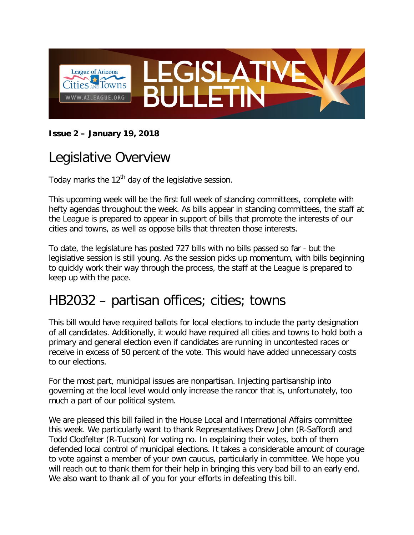

#### **Issue 2 – January 19, 2018**

# Legislative Overview

Today marks the  $12<sup>th</sup>$  day of the legislative session.

This upcoming week will be the first full week of standing committees, complete with hefty agendas throughout the week. As bills appear in standing committees, the staff at the League is prepared to appear in support of bills that promote the interests of our cities and towns, as well as oppose bills that threaten those interests.

To date, the legislature has posted 727 bills with no bills passed so far - but the legislative session is still young. As the session picks up momentum, with bills beginning to quickly work their way through the process, the staff at the League is prepared to keep up with the pace.

### HB2032 – partisan offices; cities; towns

This bill would have required ballots for local elections to include the party designation of all candidates. Additionally, it would have required all cities and towns to hold both a primary and general election even if candidates are running in uncontested races or receive in excess of 50 percent of the vote. This would have added unnecessary costs to our elections.

For the most part, municipal issues are nonpartisan. Injecting partisanship into governing at the local level would only increase the rancor that is, unfortunately, too much a part of our political system.

We are pleased this bill failed in the House Local and International Affairs committee this week. We particularly want to thank Representatives Drew John (R-Safford) and Todd Clodfelter (R-Tucson) for voting no. In explaining their votes, both of them defended local control of municipal elections. It takes a considerable amount of courage to vote against a member of your own caucus, particularly in committee. We hope you will reach out to thank them for their help in bringing this very bad bill to an early end. We also want to thank all of you for your efforts in defeating this bill.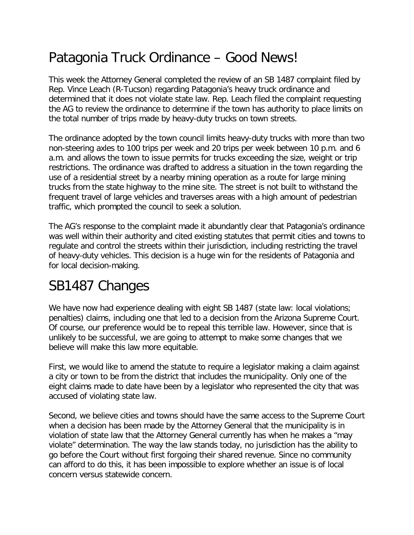# Patagonia Truck Ordinance – Good News!

This week the Attorney General completed the review of an SB 1487 complaint filed by Rep. Vince Leach (R-Tucson) regarding Patagonia's heavy truck ordinance and determined that it does not violate state law. Rep. Leach filed the complaint requesting the AG to review the ordinance to determine if the town has authority to place limits on the total number of trips made by heavy-duty trucks on town streets.

The ordinance adopted by the town council limits heavy-duty trucks with more than two non-steering axles to 100 trips per week and 20 trips per week between 10 p.m. and 6 a.m. and allows the town to issue permits for trucks exceeding the size, weight or trip restrictions. The ordinance was drafted to address a situation in the town regarding the use of a residential street by a nearby mining operation as a route for large mining trucks from the state highway to the mine site. The street is not built to withstand the frequent travel of large vehicles and traverses areas with a high amount of pedestrian traffic, which prompted the council to seek a solution.

The AG's response to the complaint made it abundantly clear that Patagonia's ordinance was well within their authority and cited existing statutes that permit cities and towns to regulate and control the streets within their jurisdiction, including restricting the travel of heavy-duty vehicles. This decision is a huge win for the residents of Patagonia and for local decision-making.

### SB1487 Changes

We have now had experience dealing with eight SB 1487 (state law: local violations; penalties) claims, including one that led to a decision from the Arizona Supreme Court. Of course, our preference would be to repeal this terrible law. However, since that is unlikely to be successful, we are going to attempt to make some changes that we believe will make this law more equitable.

First, we would like to amend the statute to require a legislator making a claim against a city or town to be from the district that includes the municipality. Only one of the eight claims made to date have been by a legislator who represented the city that was accused of violating state law.

Second, we believe cities and towns should have the same access to the Supreme Court when a decision has been made by the Attorney General that the municipality is in violation of state law that the Attorney General currently has when he makes a "may violate" determination. The way the law stands today, no jurisdiction has the ability to go before the Court without first forgoing their shared revenue. Since no community can afford to do this, it has been impossible to explore whether an issue is of local concern versus statewide concern.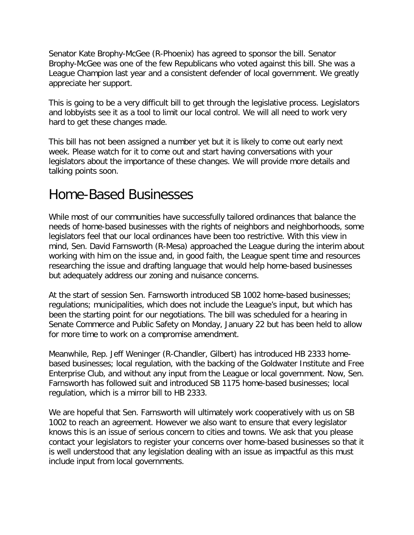Senator Kate Brophy-McGee (R-Phoenix) has agreed to sponsor the bill. Senator Brophy-McGee was one of the few Republicans who voted against this bill. She was a League Champion last year and a consistent defender of local government. We greatly appreciate her support.

This is going to be a very difficult bill to get through the legislative process. Legislators and lobbyists see it as a tool to limit our local control. We will all need to work very hard to get these changes made.

This bill has not been assigned a number yet but it is likely to come out early next week. Please watch for it to come out and start having conversations with your legislators about the importance of these changes. We will provide more details and talking points soon.

#### Home-Based Businesses

While most of our communities have successfully tailored ordinances that balance the needs of home-based businesses with the rights of neighbors and neighborhoods, some legislators feel that our local ordinances have been too restrictive. With this view in mind, Sen. David Farnsworth (R-Mesa) approached the League during the interim about working with him on the issue and, in good faith, the League spent time and resources researching the issue and drafting language that would help home-based businesses but adequately address our zoning and nuisance concerns.

At the start of session Sen. Farnsworth introduced SB 1002 home-based businesses; regulations; municipalities, which does not include the League's input, but which has been the starting point for our negotiations. The bill was scheduled for a hearing in Senate Commerce and Public Safety on Monday, January 22 but has been held to allow for more time to work on a compromise amendment.

Meanwhile, Rep. Jeff Weninger (R-Chandler, Gilbert) has introduced HB 2333 homebased businesses; local regulation, with the backing of the Goldwater Institute and Free Enterprise Club, and without any input from the League or local government. Now, Sen. Farnsworth has followed suit and introduced SB 1175 home-based businesses; local regulation, which is a mirror bill to HB 2333.

We are hopeful that Sen. Farnsworth will ultimately work cooperatively with us on SB 1002 to reach an agreement. However we also want to ensure that every legislator knows this is an issue of serious concern to cities and towns. We ask that you please contact your legislators to register your concerns over home-based businesses so that it is well understood that any legislation dealing with an issue as impactful as this must include input from local governments.